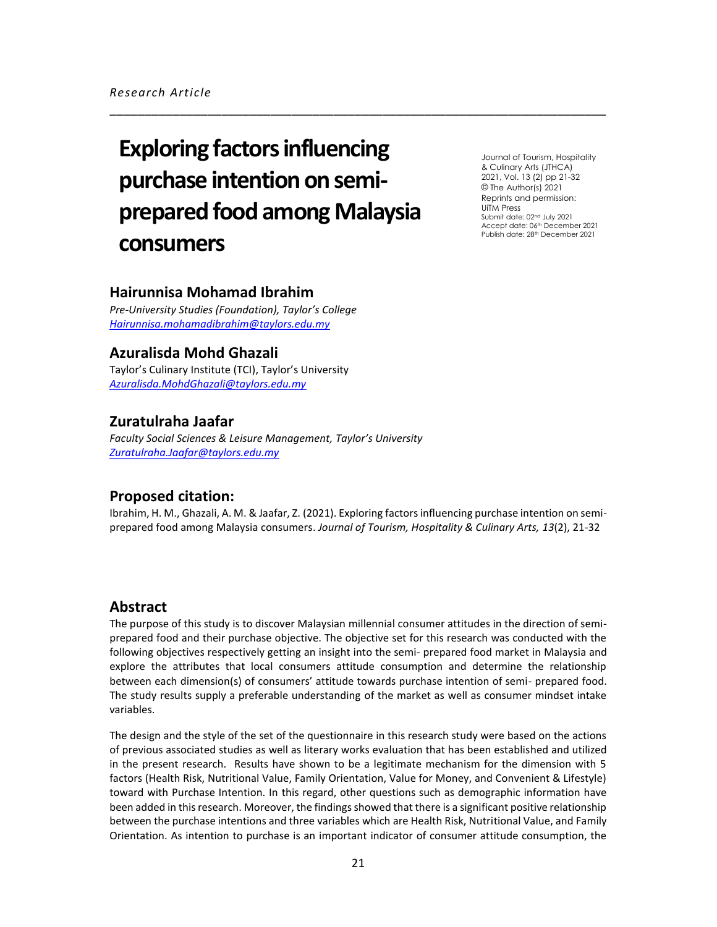# **Exploring factors influencing purchase intention on semiprepared food among Malaysia consumers**

Journal of Tourism, Hospitality & Culinary Arts (JTHCA) 2021, Vol. 13 (2) pp 21-32 © The Author(s) 2021 Reprints and permission: UiTM Press Submit date: 02nd July 2021 Accept date: 06<sup>th</sup> December 2021 Publish date: 28<sup>th</sup> December 2021

## **Hairunnisa Mohamad Ibrahim**

*Pre-University Studies (Foundation), Taylor's College [Hairunnisa.mohamadibrahim@taylors.edu.my](mailto:Hairunnisa.mohamadibrahim@taylors.edu.my)*

# **Azuralisda Mohd Ghazali**

Taylor's Culinary Institute (TCI), Taylor's University *[Azuralisda.MohdGhazali@taylors.edu.my](mailto:Azuralisda.MohdGhazali@taylors.edu.my)*

# **Zuratulraha Jaafar**

*Faculty Social Sciences & Leisure Management, Taylor's University [Zuratulraha.Jaafar@taylors.edu.my](mailto:Zuratulraha.Jaafar@taylors.edu.my)*

# **Proposed citation:**

Ibrahim, H. M., Ghazali, A. M. & Jaafar, Z. (2021). Exploring factors influencing purchase intention on semiprepared food among Malaysia consumers. *Journal of Tourism, Hospitality & Culinary Arts, 13*(2), 21-32

\_\_\_\_\_\_\_\_\_\_\_\_\_\_\_\_\_\_\_\_\_\_\_\_\_\_\_\_\_\_\_\_\_\_\_\_\_\_\_\_\_\_\_\_\_\_\_\_\_\_\_\_\_\_\_\_\_\_\_\_\_\_\_\_\_\_\_\_\_\_\_

# **Abstract**

The purpose of this study is to discover Malaysian millennial consumer attitudes in the direction of semiprepared food and their purchase objective. The objective set for this research was conducted with the following objectives respectively getting an insight into the semi- prepared food market in Malaysia and explore the attributes that local consumers attitude consumption and determine the relationship between each dimension(s) of consumers' attitude towards purchase intention of semi- prepared food. The study results supply a preferable understanding of the market as well as consumer mindset intake variables.

The design and the style of the set of the questionnaire in this research study were based on the actions of previous associated studies as well as literary works evaluation that has been established and utilized in the present research. Results have shown to be a legitimate mechanism for the dimension with 5 factors (Health Risk, Nutritional Value, Family Orientation, Value for Money, and Convenient & Lifestyle) toward with Purchase Intention. In this regard, other questions such as demographic information have been added in this research. Moreover, the findings showed that there is a significant positive relationship between the purchase intentions and three variables which are Health Risk, Nutritional Value, and Family Orientation. As intention to purchase is an important indicator of consumer attitude consumption, the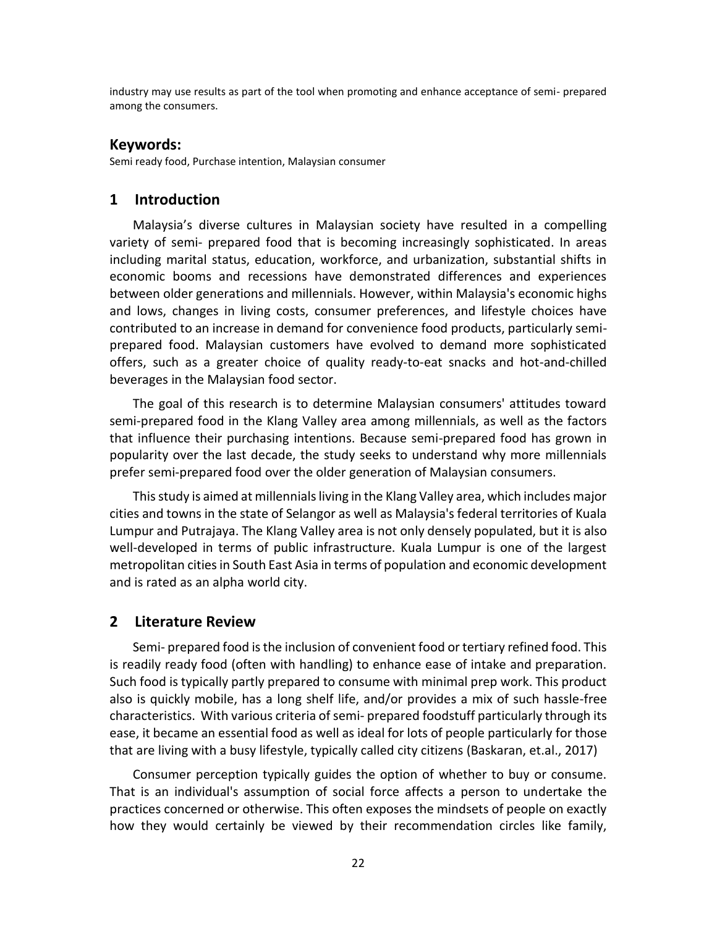industry may use results as part of the tool when promoting and enhance acceptance of semi- prepared among the consumers.

#### **Keywords:**

Semi ready food, Purchase intention, Malaysian consumer

## **1 Introduction**

Malaysia's diverse cultures in Malaysian society have resulted in a compelling variety of semi- prepared food that is becoming increasingly sophisticated. In areas including marital status, education, workforce, and urbanization, substantial shifts in economic booms and recessions have demonstrated differences and experiences between older generations and millennials. However, within Malaysia's economic highs and lows, changes in living costs, consumer preferences, and lifestyle choices have contributed to an increase in demand for convenience food products, particularly semiprepared food. Malaysian customers have evolved to demand more sophisticated offers, such as a greater choice of quality ready-to-eat snacks and hot-and-chilled beverages in the Malaysian food sector.

The goal of this research is to determine Malaysian consumers' attitudes toward semi-prepared food in the Klang Valley area among millennials, as well as the factors that influence their purchasing intentions. Because semi-prepared food has grown in popularity over the last decade, the study seeks to understand why more millennials prefer semi-prepared food over the older generation of Malaysian consumers.

This study is aimed at millennials living in the Klang Valley area, which includes major cities and towns in the state of Selangor as well as Malaysia's federal territories of Kuala Lumpur and Putrajaya. The Klang Valley area is not only densely populated, but it is also well-developed in terms of public infrastructure. Kuala Lumpur is one of the largest metropolitan cities in South East Asia in terms of population and economic development and is rated as an alpha world city.

#### **2 Literature Review**

Semi- prepared food is the inclusion of convenient food or tertiary refined food. This is readily ready food (often with handling) to enhance ease of intake and preparation. Such food is typically partly prepared to consume with minimal prep work. This product also is quickly mobile, has a long shelf life, and/or provides a mix of such hassle-free characteristics. With various criteria of semi- prepared foodstuff particularly through its ease, it became an essential food as well as ideal for lots of people particularly for those that are living with a busy lifestyle, typically called city citizens (Baskaran, et.al., 2017)

Consumer perception typically guides the option of whether to buy or consume. That is an individual's assumption of social force affects a person to undertake the practices concerned or otherwise. This often exposes the mindsets of people on exactly how they would certainly be viewed by their recommendation circles like family,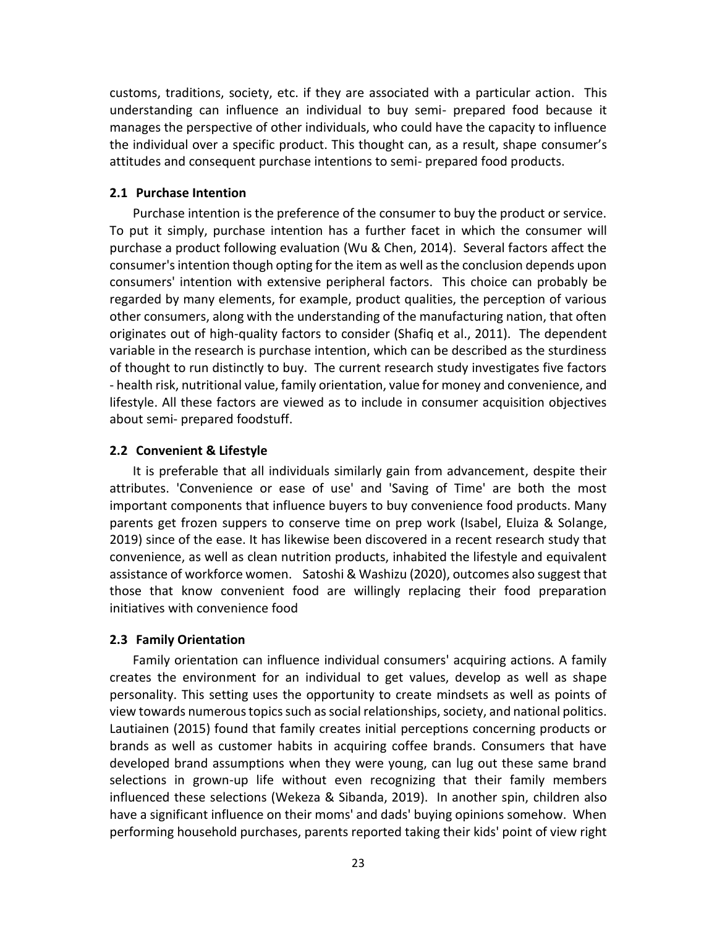customs, traditions, society, etc. if they are associated with a particular action. This understanding can influence an individual to buy semi- prepared food because it manages the perspective of other individuals, who could have the capacity to influence the individual over a specific product. This thought can, as a result, shape consumer's attitudes and consequent purchase intentions to semi- prepared food products.

## **2.1 Purchase Intention**

Purchase intention is the preference of the consumer to buy the product or service. To put it simply, purchase intention has a further facet in which the consumer will purchase a product following evaluation (Wu & Chen, 2014). Several factors affect the consumer's intention though opting for the item as well as the conclusion depends upon consumers' intention with extensive peripheral factors. This choice can probably be regarded by many elements, for example, product qualities, the perception of various other consumers, along with the understanding of the manufacturing nation, that often originates out of high-quality factors to consider (Shafiq et al., 2011). The dependent variable in the research is purchase intention, which can be described as the sturdiness of thought to run distinctly to buy. The current research study investigates five factors - health risk, nutritional value, family orientation, value for money and convenience, and lifestyle. All these factors are viewed as to include in consumer acquisition objectives about semi- prepared foodstuff.

## **2.2 Convenient & Lifestyle**

It is preferable that all individuals similarly gain from advancement, despite their attributes. 'Convenience or ease of use' and 'Saving of Time' are both the most important components that influence buyers to buy convenience food products. Many parents get frozen suppers to conserve time on prep work (Isabel, Eluiza & Solange, 2019) since of the ease. It has likewise been discovered in a recent research study that convenience, as well as clean nutrition products, inhabited the lifestyle and equivalent assistance of workforce women. Satoshi & Washizu (2020), outcomes also suggest that those that know convenient food are willingly replacing their food preparation initiatives with convenience food

#### **2.3 Family Orientation**

Family orientation can influence individual consumers' acquiring actions. A family creates the environment for an individual to get values, develop as well as shape personality. This setting uses the opportunity to create mindsets as well as points of view towards numerous topics such as social relationships, society, and national politics. Lautiainen (2015) found that family creates initial perceptions concerning products or brands as well as customer habits in acquiring coffee brands. Consumers that have developed brand assumptions when they were young, can lug out these same brand selections in grown-up life without even recognizing that their family members influenced these selections (Wekeza & Sibanda, 2019). In another spin, children also have a significant influence on their moms' and dads' buying opinions somehow. When performing household purchases, parents reported taking their kids' point of view right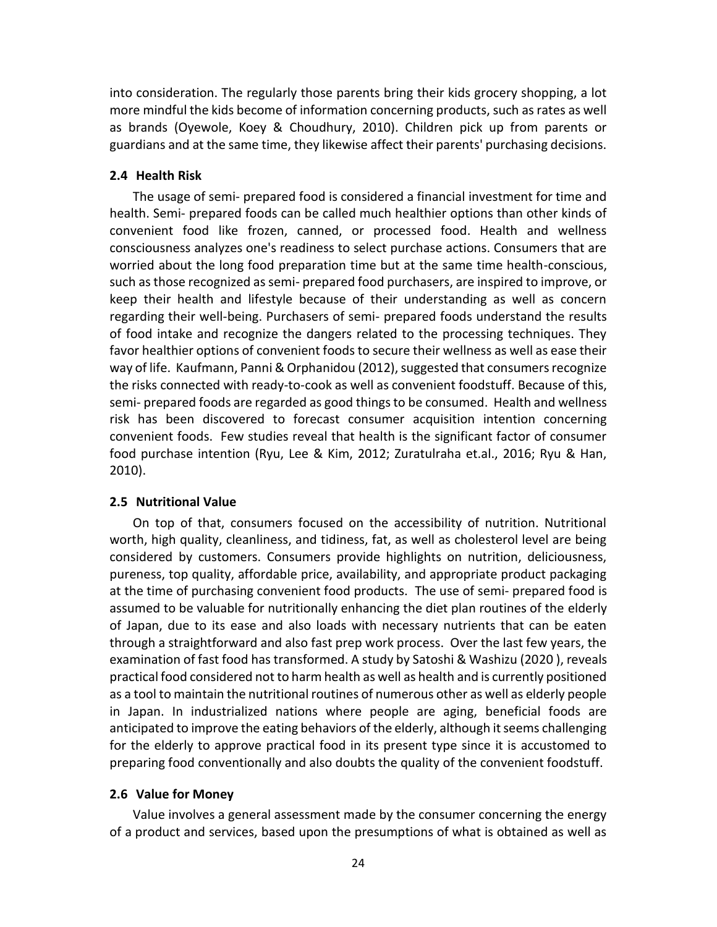into consideration. The regularly those parents bring their kids grocery shopping, a lot more mindful the kids become of information concerning products, such as rates as well as brands (Oyewole, Koey & Choudhury, 2010). Children pick up from parents or guardians and at the same time, they likewise affect their parents' purchasing decisions.

#### **2.4 Health Risk**

The usage of semi- prepared food is considered a financial investment for time and health. Semi- prepared foods can be called much healthier options than other kinds of convenient food like frozen, canned, or processed food. Health and wellness consciousness analyzes one's readiness to select purchase actions. Consumers that are worried about the long food preparation time but at the same time health-conscious, such as those recognized as semi- prepared food purchasers, are inspired to improve, or keep their health and lifestyle because of their understanding as well as concern regarding their well-being. Purchasers of semi- prepared foods understand the results of food intake and recognize the dangers related to the processing techniques. They favor healthier options of convenient foods to secure their wellness as well as ease their way of life. Kaufmann, Panni & Orphanidou (2012), suggested that consumers recognize the risks connected with ready-to-cook as well as convenient foodstuff. Because of this, semi- prepared foods are regarded as good things to be consumed. Health and wellness risk has been discovered to forecast consumer acquisition intention concerning convenient foods. Few studies reveal that health is the significant factor of consumer food purchase intention (Ryu, Lee & Kim, 2012; Zuratulraha et.al., 2016; Ryu & Han, 2010).

#### **2.5 Nutritional Value**

On top of that, consumers focused on the accessibility of nutrition. Nutritional worth, high quality, cleanliness, and tidiness, fat, as well as cholesterol level are being considered by customers. Consumers provide highlights on nutrition, deliciousness, pureness, top quality, affordable price, availability, and appropriate product packaging at the time of purchasing convenient food products. The use of semi- prepared food is assumed to be valuable for nutritionally enhancing the diet plan routines of the elderly of Japan, due to its ease and also loads with necessary nutrients that can be eaten through a straightforward and also fast prep work process. Over the last few years, the examination of fast food has transformed. A study by Satoshi & Washizu (2020 ), reveals practical food considered not to harm health as well as health and is currently positioned as a tool to maintain the nutritional routines of numerous other as well as elderly people in Japan. In industrialized nations where people are aging, beneficial foods are anticipated to improve the eating behaviors of the elderly, although it seems challenging for the elderly to approve practical food in its present type since it is accustomed to preparing food conventionally and also doubts the quality of the convenient foodstuff.

#### **2.6 Value for Money**

Value involves a general assessment made by the consumer concerning the energy of a product and services, based upon the presumptions of what is obtained as well as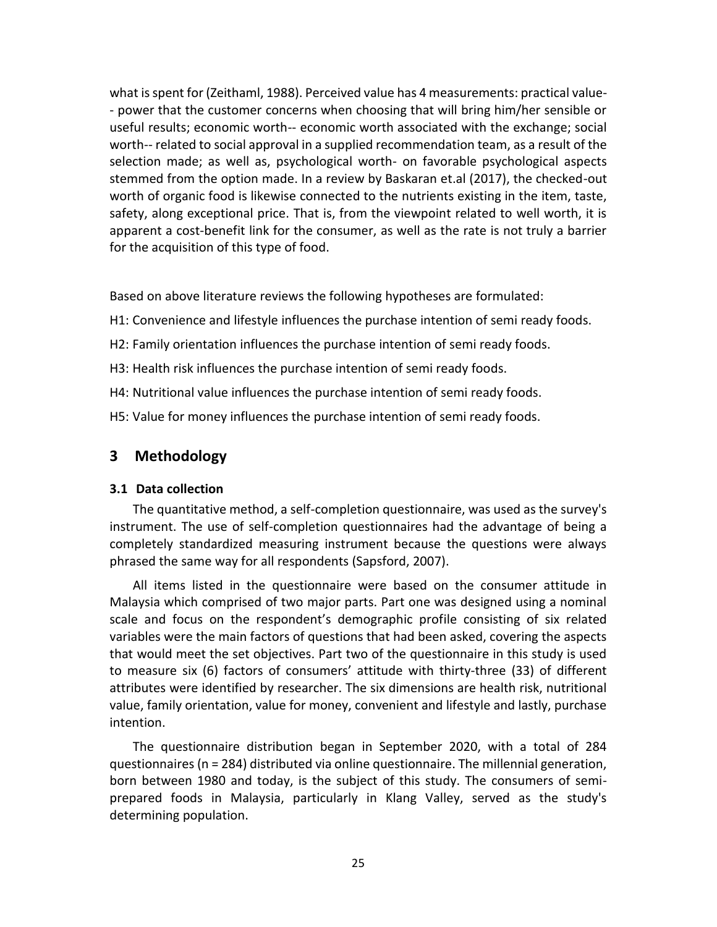what is spent for (Zeithaml, 1988). Perceived value has 4 measurements: practical value- - power that the customer concerns when choosing that will bring him/her sensible or useful results; economic worth-- economic worth associated with the exchange; social worth-- related to social approval in a supplied recommendation team, as a result of the selection made; as well as, psychological worth- on favorable psychological aspects stemmed from the option made. In a review by Baskaran et.al (2017), the checked-out worth of organic food is likewise connected to the nutrients existing in the item, taste, safety, along exceptional price. That is, from the viewpoint related to well worth, it is apparent a cost-benefit link for the consumer, as well as the rate is not truly a barrier for the acquisition of this type of food.

Based on above literature reviews the following hypotheses are formulated:

H1: Convenience and lifestyle influences the purchase intention of semi ready foods.

H2: Family orientation influences the purchase intention of semi ready foods.

H3: Health risk influences the purchase intention of semi ready foods.

H4: Nutritional value influences the purchase intention of semi ready foods.

H5: Value for money influences the purchase intention of semi ready foods.

# **3 Methodology**

## **3.1 Data collection**

The quantitative method, a self-completion questionnaire, was used as the survey's instrument. The use of self-completion questionnaires had the advantage of being a completely standardized measuring instrument because the questions were always phrased the same way for all respondents (Sapsford, 2007).

All items listed in the questionnaire were based on the consumer attitude in Malaysia which comprised of two major parts. Part one was designed using a nominal scale and focus on the respondent's demographic profile consisting of six related variables were the main factors of questions that had been asked, covering the aspects that would meet the set objectives. Part two of the questionnaire in this study is used to measure six (6) factors of consumers' attitude with thirty-three (33) of different attributes were identified by researcher. The six dimensions are health risk, nutritional value, family orientation, value for money, convenient and lifestyle and lastly, purchase intention.

The questionnaire distribution began in September 2020, with a total of 284 questionnaires (n = 284) distributed via online questionnaire. The millennial generation, born between 1980 and today, is the subject of this study. The consumers of semiprepared foods in Malaysia, particularly in Klang Valley, served as the study's determining population.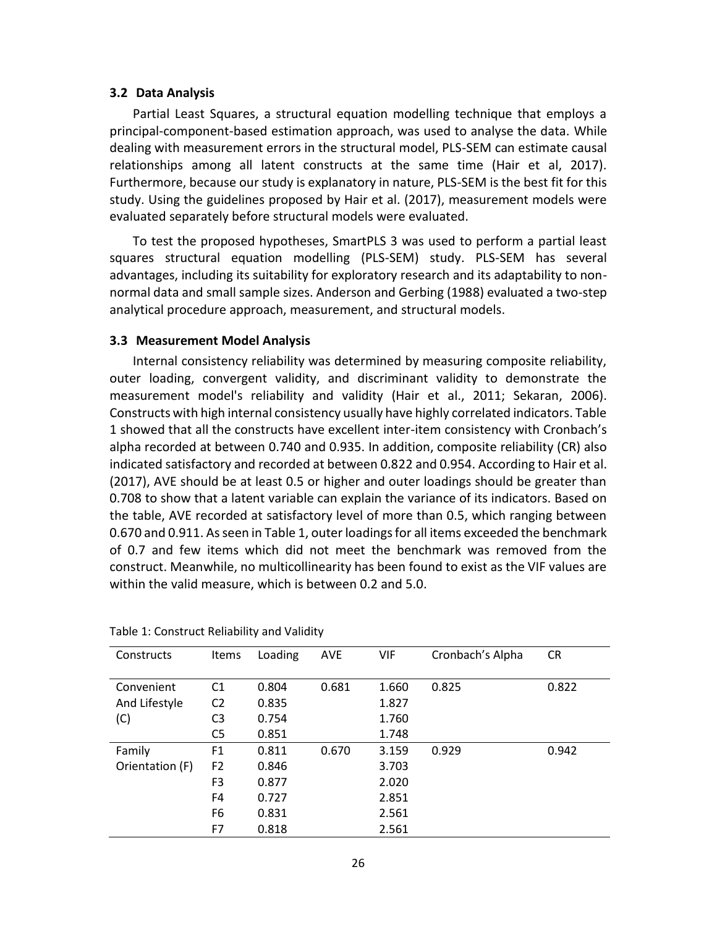#### **3.2 Data Analysis**

Partial Least Squares, a structural equation modelling technique that employs a principal-component-based estimation approach, was used to analyse the data. While dealing with measurement errors in the structural model, PLS-SEM can estimate causal relationships among all latent constructs at the same time (Hair et al, 2017). Furthermore, because our study is explanatory in nature, PLS-SEM is the best fit for this study. Using the guidelines proposed by Hair et al. (2017), measurement models were evaluated separately before structural models were evaluated.

To test the proposed hypotheses, SmartPLS 3 was used to perform a partial least squares structural equation modelling (PLS-SEM) study. PLS-SEM has several advantages, including its suitability for exploratory research and its adaptability to nonnormal data and small sample sizes. Anderson and Gerbing (1988) evaluated a two-step analytical procedure approach, measurement, and structural models.

## **3.3 Measurement Model Analysis**

Internal consistency reliability was determined by measuring composite reliability, outer loading, convergent validity, and discriminant validity to demonstrate the measurement model's reliability and validity (Hair et al., 2011; Sekaran, 2006). Constructs with high internal consistency usually have highly correlated indicators. Table 1 showed that all the constructs have excellent inter-item consistency with Cronbach's alpha recorded at between 0.740 and 0.935. In addition, composite reliability (CR) also indicated satisfactory and recorded at between 0.822 and 0.954. According to Hair et al. (2017), AVE should be at least 0.5 or higher and outer loadings should be greater than 0.708 to show that a latent variable can explain the variance of its indicators. Based on the table, AVE recorded at satisfactory level of more than 0.5, which ranging between 0.670 and 0.911. As seen in Table 1, outer loadings for all items exceeded the benchmark of 0.7 and few items which did not meet the benchmark was removed from the construct. Meanwhile, no multicollinearity has been found to exist as the VIF values are within the valid measure, which is between 0.2 and 5.0.

| Constructs      | <b>Items</b>   | Loading | <b>AVE</b> | <b>VIF</b> | Cronbach's Alpha | <b>CR</b> |
|-----------------|----------------|---------|------------|------------|------------------|-----------|
|                 |                |         |            |            |                  |           |
| Convenient      | C <sub>1</sub> | 0.804   | 0.681      | 1.660      | 0.825            | 0.822     |
| And Lifestyle   | C <sub>2</sub> | 0.835   |            | 1.827      |                  |           |
| (C)             | C3             | 0.754   |            | 1.760      |                  |           |
|                 | C5             | 0.851   |            | 1.748      |                  |           |
| Family          | F1             | 0.811   | 0.670      | 3.159      | 0.929            | 0.942     |
| Orientation (F) | F <sub>2</sub> | 0.846   |            | 3.703      |                  |           |
|                 | F <sub>3</sub> | 0.877   |            | 2.020      |                  |           |
|                 | F4             | 0.727   |            | 2.851      |                  |           |
|                 | F6             | 0.831   |            | 2.561      |                  |           |
|                 | F7             | 0.818   |            | 2.561      |                  |           |

Table 1: Construct Reliability and Validity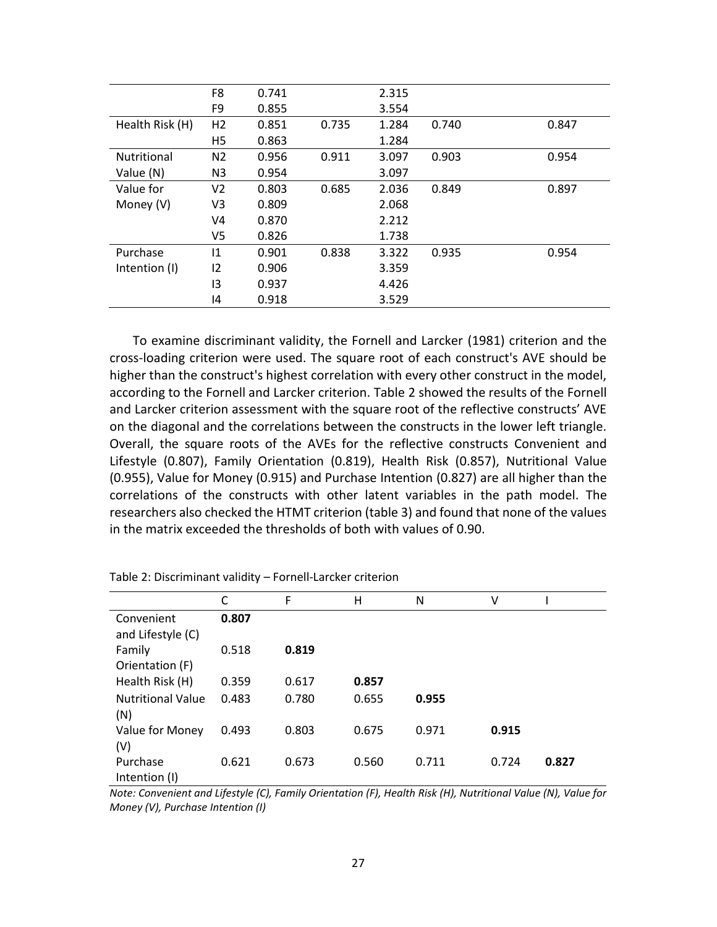|                 | F8             | 0.741 |       | 2.315 |       |       |
|-----------------|----------------|-------|-------|-------|-------|-------|
|                 | F9             | 0.855 |       | 3.554 |       |       |
| Health Risk (H) | H <sub>2</sub> | 0.851 | 0.735 | 1.284 | 0.740 | 0.847 |
|                 | H <sub>5</sub> | 0.863 |       | 1.284 |       |       |
| Nutritional     | N <sub>2</sub> | 0.956 | 0.911 | 3.097 | 0.903 | 0.954 |
| Value (N)       | N <sub>3</sub> | 0.954 |       | 3.097 |       |       |
| Value for       | V2             | 0.803 | 0.685 | 2.036 | 0.849 | 0.897 |
| Money (V)       | V3             | 0.809 |       | 2.068 |       |       |
|                 | V4             | 0.870 |       | 2.212 |       |       |
|                 | V <sub>5</sub> | 0.826 |       | 1.738 |       |       |
| Purchase        | 11             | 0.901 | 0.838 | 3.322 | 0.935 | 0.954 |
| Intention (I)   | 12             | 0.906 |       | 3.359 |       |       |
|                 | 13             | 0.937 |       | 4.426 |       |       |
|                 | 14             | 0.918 |       | 3.529 |       |       |

To examine discriminant validity, the Fornell and Larcker (1981) criterion and the cross-loading criterion were used. The square root of each construct's AVE should be higher than the construct's highest correlation with every other construct in the model, according to the Fornell and Larcker criterion. Table 2 showed the results of the Fornell and Larcker criterion assessment with the square root of the reflective constructs' AVE on the diagonal and the correlations between the constructs in the lower left triangle. Overall, the square roots of the AVEs for the reflective constructs Convenient and Lifestyle (0.807), Family Orientation (0.819), Health Risk (0.857), Nutritional Value (0.955), Value for Money (0.915) and Purchase Intention (0.827) are all higher than the correlations of the constructs with other latent variables in the path model. The researchers also checked the HTMT criterion (table 3) and found that none of the values in the matrix exceeded the thresholds of both with values of 0.90.

|                                 | C     | F     | Н     | N     | v     |       |
|---------------------------------|-------|-------|-------|-------|-------|-------|
| Convenient<br>and Lifestyle (C) | 0.807 |       |       |       |       |       |
| Family<br>Orientation (F)       | 0.518 | 0.819 |       |       |       |       |
| Health Risk (H)                 | 0.359 | 0.617 | 0.857 |       |       |       |
| <b>Nutritional Value</b><br>(N) | 0.483 | 0.780 | 0.655 | 0.955 |       |       |
| Value for Money<br>(V)          | 0.493 | 0.803 | 0.675 | 0.971 | 0.915 |       |
| Purchase<br>Intention (I)       | 0.621 | 0.673 | 0.560 | 0.711 | 0.724 | 0.827 |

Table 2: Discriminant validity – Fornell-Larcker criterion

*Note: Convenient and Lifestyle (C), Family Orientation (F), Health Risk (H), Nutritional Value (N), Value for Money (V), Purchase Intention (I)*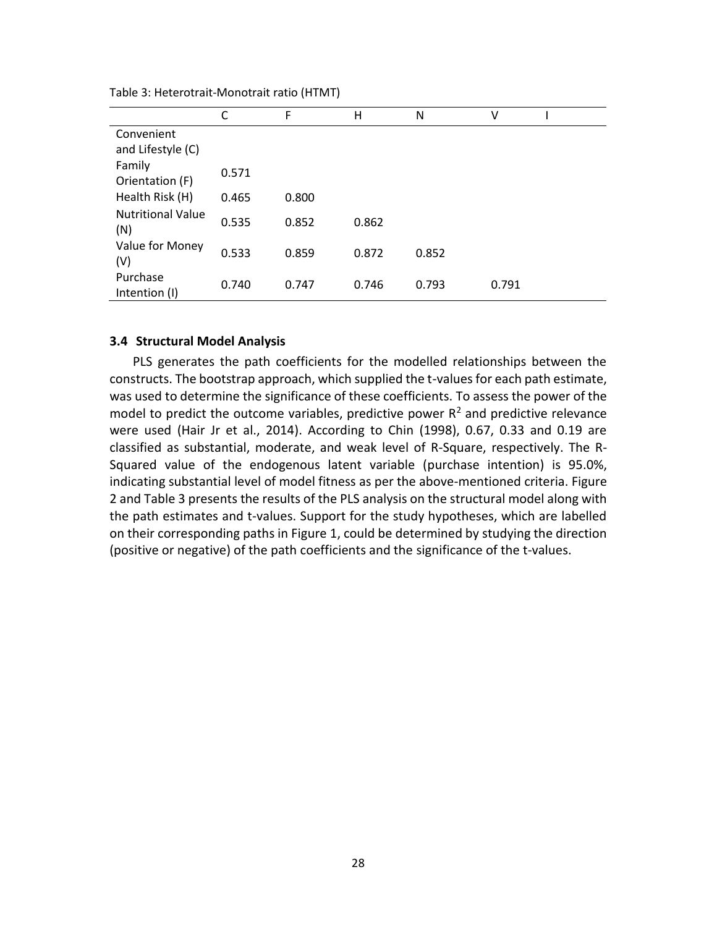|                                 | C     | F     | н     | N     | V     |  |
|---------------------------------|-------|-------|-------|-------|-------|--|
| Convenient<br>and Lifestyle (C) |       |       |       |       |       |  |
| Family<br>Orientation (F)       | 0.571 |       |       |       |       |  |
| Health Risk (H)                 | 0.465 | 0.800 |       |       |       |  |
| <b>Nutritional Value</b><br>(N) | 0.535 | 0.852 | 0.862 |       |       |  |
| Value for Money<br>(V)          | 0.533 | 0.859 | 0.872 | 0.852 |       |  |
| Purchase<br>Intention (I)       | 0.740 | 0.747 | 0.746 | 0.793 | 0.791 |  |

Table 3: Heterotrait-Monotrait ratio (HTMT)

#### **3.4 Structural Model Analysis**

PLS generates the path coefficients for the modelled relationships between the constructs. The bootstrap approach, which supplied the t-values for each path estimate, was used to determine the significance of these coefficients. To assess the power of the model to predict the outcome variables, predictive power  $R^2$  and predictive relevance were used (Hair Jr et al., 2014). According to Chin (1998), 0.67, 0.33 and 0.19 are classified as substantial, moderate, and weak level of R-Square, respectively. The R-Squared value of the endogenous latent variable (purchase intention) is 95.0%, indicating substantial level of model fitness as per the above-mentioned criteria. Figure 2 and Table 3 presents the results of the PLS analysis on the structural model along with the path estimates and t-values. Support for the study hypotheses, which are labelled on their corresponding paths in Figure 1, could be determined by studying the direction (positive or negative) of the path coefficients and the significance of the t-values.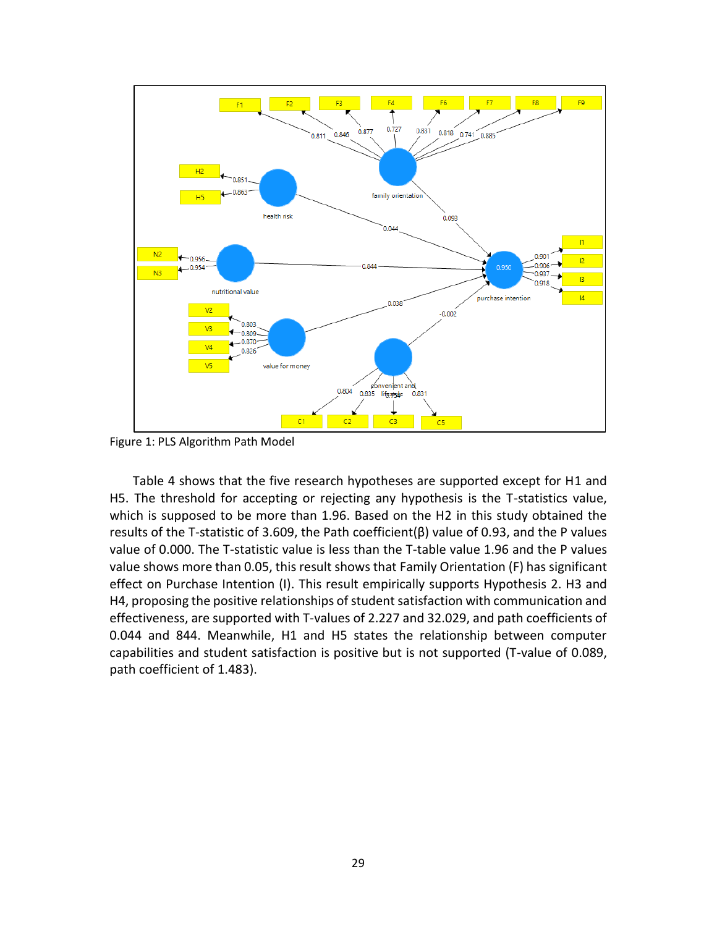

Figure 1: PLS Algorithm Path Model

Table 4 shows that the five research hypotheses are supported except for H1 and H5. The threshold for accepting or rejecting any hypothesis is the T-statistics value, which is supposed to be more than 1.96. Based on the H2 in this study obtained the results of the T-statistic of 3.609, the Path coefficient( $\beta$ ) value of 0.93, and the P values value of 0.000. The T-statistic value is less than the T-table value 1.96 and the P values value shows more than 0.05, this result shows that Family Orientation (F) has significant effect on Purchase Intention (I). This result empirically supports Hypothesis 2. H3 and H4, proposing the positive relationships of student satisfaction with communication and effectiveness, are supported with T-values of 2.227 and 32.029, and path coefficients of 0.044 and 844. Meanwhile, H1 and H5 states the relationship between computer capabilities and student satisfaction is positive but is not supported (T-value of 0.089, path coefficient of 1.483).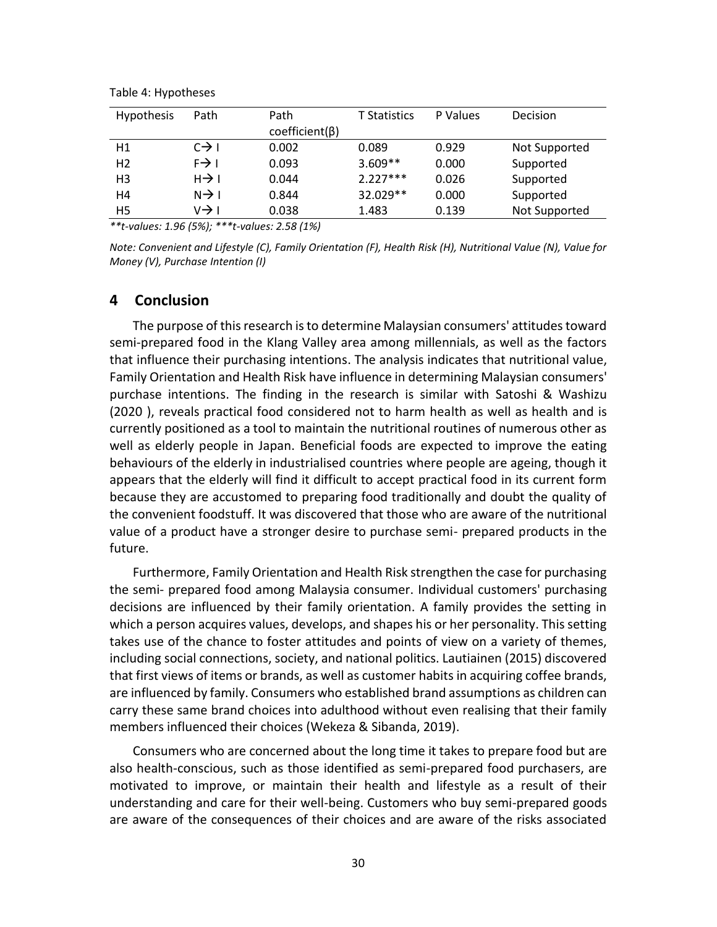| <b>Hypothesis</b> | Path              | Path                 | <b>T</b> Statistics | P Values | Decision      |
|-------------------|-------------------|----------------------|---------------------|----------|---------------|
|                   |                   | $coefficient(\beta)$ |                     |          |               |
| H1                | $C \rightarrow 1$ | 0.002                | 0.089               | 0.929    | Not Supported |
| H <sub>2</sub>    | $F \rightarrow 1$ | 0.093                | $3.609**$           | 0.000    | Supported     |
| H3                | $H \rightarrow I$ | 0.044                | $2.227***$          | 0.026    | Supported     |
| Η4                | $N \rightarrow 1$ | 0.844                | 32.029**            | 0.000    | Supported     |
| H5                | v→ ı              | 0.038                | 1.483               | 0.139    | Not Supported |
|                   |                   |                      |                     |          |               |

Table 4: Hypotheses

*\*\*t-values: 1.96 (5%); \*\*\*t-values: 2.58 (1%)*

*Note: Convenient and Lifestyle (C), Family Orientation (F), Health Risk (H), Nutritional Value (N), Value for Money (V), Purchase Intention (I)*

#### **4 Conclusion**

The purpose of this research is to determine Malaysian consumers' attitudes toward semi-prepared food in the Klang Valley area among millennials, as well as the factors that influence their purchasing intentions. The analysis indicates that nutritional value, Family Orientation and Health Risk have influence in determining Malaysian consumers' purchase intentions. The finding in the research is similar with Satoshi & Washizu (2020 ), reveals practical food considered not to harm health as well as health and is currently positioned as a tool to maintain the nutritional routines of numerous other as well as elderly people in Japan. Beneficial foods are expected to improve the eating behaviours of the elderly in industrialised countries where people are ageing, though it appears that the elderly will find it difficult to accept practical food in its current form because they are accustomed to preparing food traditionally and doubt the quality of the convenient foodstuff. It was discovered that those who are aware of the nutritional value of a product have a stronger desire to purchase semi- prepared products in the future.

Furthermore, Family Orientation and Health Risk strengthen the case for purchasing the semi- prepared food among Malaysia consumer. Individual customers' purchasing decisions are influenced by their family orientation. A family provides the setting in which a person acquires values, develops, and shapes his or her personality. This setting takes use of the chance to foster attitudes and points of view on a variety of themes, including social connections, society, and national politics. Lautiainen (2015) discovered that first views of items or brands, as well as customer habits in acquiring coffee brands, are influenced by family. Consumers who established brand assumptions as children can carry these same brand choices into adulthood without even realising that their family members influenced their choices (Wekeza & Sibanda, 2019).

Consumers who are concerned about the long time it takes to prepare food but are also health-conscious, such as those identified as semi-prepared food purchasers, are motivated to improve, or maintain their health and lifestyle as a result of their understanding and care for their well-being. Customers who buy semi-prepared goods are aware of the consequences of their choices and are aware of the risks associated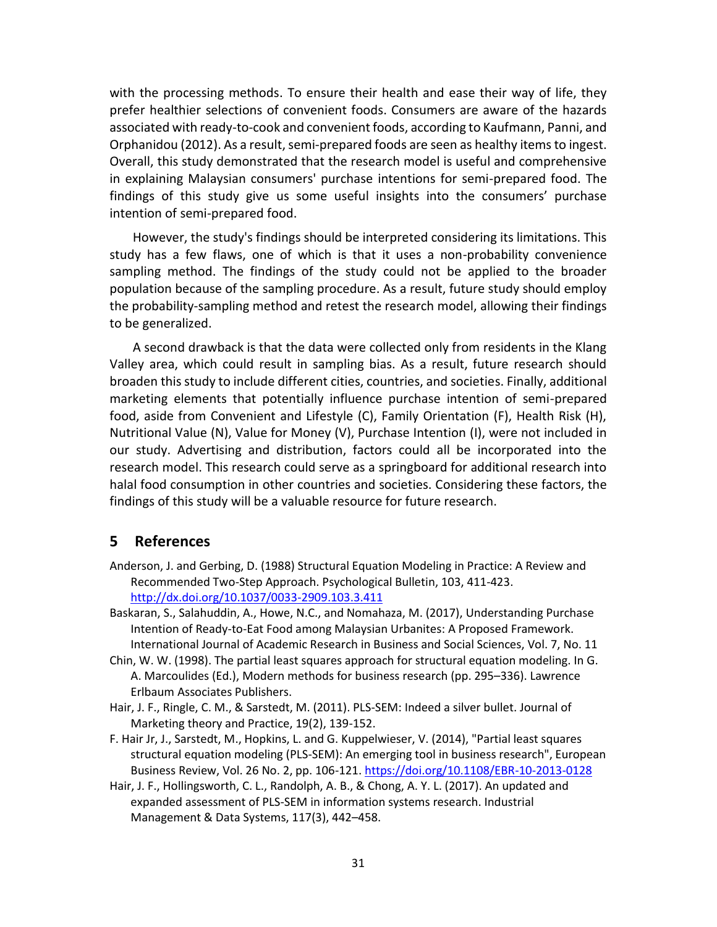with the processing methods. To ensure their health and ease their way of life, they prefer healthier selections of convenient foods. Consumers are aware of the hazards associated with ready-to-cook and convenient foods, according to Kaufmann, Panni, and Orphanidou (2012). As a result, semi-prepared foods are seen as healthy items to ingest. Overall, this study demonstrated that the research model is useful and comprehensive in explaining Malaysian consumers' purchase intentions for semi-prepared food. The findings of this study give us some useful insights into the consumers' purchase intention of semi-prepared food.

However, the study's findings should be interpreted considering its limitations. This study has a few flaws, one of which is that it uses a non-probability convenience sampling method. The findings of the study could not be applied to the broader population because of the sampling procedure. As a result, future study should employ the probability-sampling method and retest the research model, allowing their findings to be generalized.

A second drawback is that the data were collected only from residents in the Klang Valley area, which could result in sampling bias. As a result, future research should broaden this study to include different cities, countries, and societies. Finally, additional marketing elements that potentially influence purchase intention of semi-prepared food, aside from Convenient and Lifestyle (C), Family Orientation (F), Health Risk (H), Nutritional Value (N), Value for Money (V), Purchase Intention (I), were not included in our study. Advertising and distribution, factors could all be incorporated into the research model. This research could serve as a springboard for additional research into halal food consumption in other countries and societies. Considering these factors, the findings of this study will be a valuable resource for future research.

## **5 References**

- Anderson, J. and Gerbing, D. (1988) Structural Equation Modeling in Practice: A Review and Recommended Two-Step Approach. Psychological Bulletin, 103, 411-423. <http://dx.doi.org/10.1037/0033-2909.103.3.411>
- Baskaran, S., Salahuddin, A., Howe, N.C., and Nomahaza, M. (2017), Understanding Purchase Intention of Ready-to-Eat Food among Malaysian Urbanites: A Proposed Framework. International Journal of Academic Research in Business and Social Sciences, Vol. 7, No. 11
- Chin, W. W. (1998). The partial least squares approach for structural equation modeling. In G. A. Marcoulides (Ed.), Modern methods for business research (pp. 295–336). Lawrence Erlbaum Associates Publishers.
- Hair, J. F., Ringle, C. M., & Sarstedt, M. (2011). PLS-SEM: Indeed a silver bullet. Journal of Marketing theory and Practice, 19(2), 139-152.
- F. Hair Jr, J., Sarstedt, M., Hopkins, L. and G. Kuppelwieser, V. (2014), "Partial least squares structural equation modeling (PLS-SEM): An emerging tool in business research", European Business Review, Vol. 26 No. 2, pp. 106-121[. https://doi.org/10.1108/EBR-10-2013-0128](https://doi.org/10.1108/EBR-10-2013-0128)
- Hair, J. F., Hollingsworth, C. L., Randolph, A. B., & Chong, A. Y. L. (2017). An updated and expanded assessment of PLS-SEM in information systems research. Industrial Management & Data Systems, 117(3), 442–458.